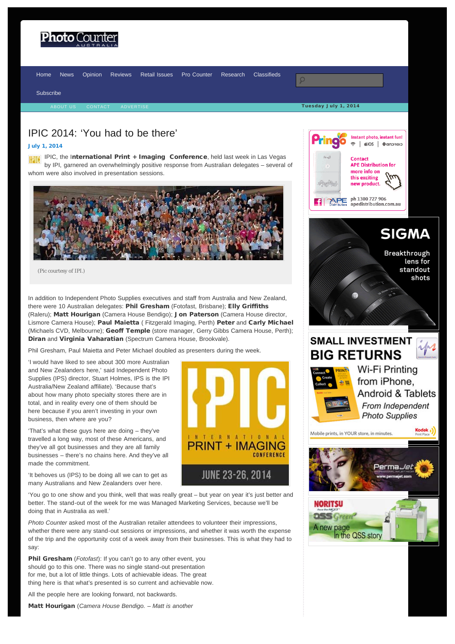<span id="page-0-0"></span>

## IPIC 2014: 'You had to be there'

### [July 1, 2014](#page-0-0)

IPIC, the International Print + Imaging Conference, held last week in Las Vegas by IPI, garnered an overwhelmingly positive response from Australian delegates – several of whom were also involved in presentation sessions.



(Pic courtesy of IPI.)

In addition to Independent Photo Supplies executives and staff from Australia and New Zealand, there were 10 Australian delegates: Phil Gresham (Fotofast, Brisbane); Elly Griffiths (Raleru); Matt Hourigan (Camera House Bendigo); Jon Paterson (Camera House director, Lismore Camera House); Paul Maietta ( Fitzgerald Imaging, Perth) Peter and Carly Michael (Michaels CVD, Melbourne); Geoff Temple (store manager, Gerry Gibbs Camera House, Perth); Diran and Virginia Vaharatian (Spectrum Camera House, Brookvale).

Phil Gresham, Paul Maietta and Peter Michael doubled as presenters during the week.

'I would have liked to see about 300 more Australian and New Zealanders here,' said Independent Photo Supplies (IPS) director, Stuart Holmes, IPS is the IPI Australia/New Zealand affiliate). 'Because that's about how many photo specialty stores there are in total, and in reality every one of them should be here because if you aren't investing in your own business, then where are you?

'That's what these guys here are doing – they've travelled a long way, most of these Americans, and they've all got businesses and they are all family businesses – there's no chains here. And they've all made the commitment.

'It behoves us (IPS) to be doing all we can to get as many Australians and New Zealanders over here.

'You go to one show and you think, well that was really great – but year on year it's just better and better. The stand-out of the week for me was Managed Marketing Services, because we'll be doing that in Australia as well.'

*Photo Counter* asked most of the Australian retailer attendees to volunteer their impressions, whether there were any stand-out sessions or impressions, and whether it was worth the expense of the trip and the opportunity cost of a week away from their businesses. This is what they had to say:

Phil Gresham (*Fotofast*): If you can't go to any other event, you should go to this one. There was no single stand-out presentation for me, but a lot of little things. Lots of achievable ideas. The great thing here is that what's presented is so current and achievable now.

All the people here are looking forward, not backwards.

Matt Hourigan (*Camera House Bendigo. – Matt is another*





**SIGMA** 

Breakthrough lens for standout shots

# **SMALL INVESTMENT BIG RETURNS**



Wi-Fi Printing from iPhone. **Android & Tablets** From Independent **Photo Supplies** 



In the QSS story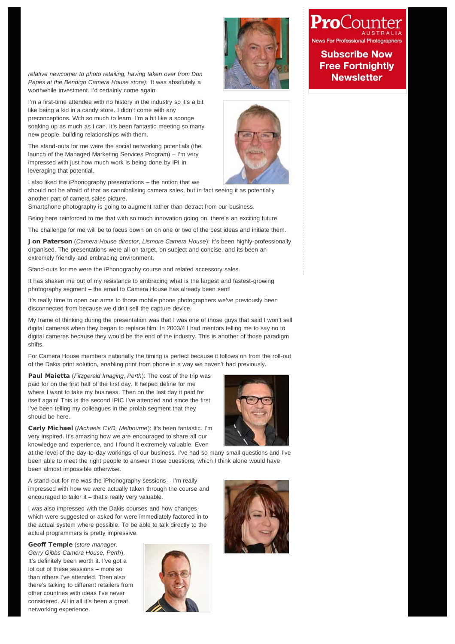*relative newcomer to photo retailing, having taken over from Don Papes at the Bendigo Camera House store)*: 'It was absolutely a worthwhile investment. I'd certainly come again.

I'm a first-time attendee with no history in the industry so it's a bit like being a kid in a candy store. I didn't come with any preconceptions. With so much to learn, I'm a bit like a sponge soaking up as much as I can. It's been fantastic meeting so many new people, building relationships with them.

The stand-outs for me were the social networking potentials (the launch of the Managed Marketing Services Program) – I'm very impressed with just how much work is being done by IPI in leveraging that potential.

I also liked the iPhonography presentations – the notion that we

should not be afraid of that as cannibalising camera sales, but in fact seeing it as potentially another part of camera sales picture.

Smartphone photography is going to augment rather than detract from our business.

Being here reinforced to me that with so much innovation going on, there's an exciting future.

The challenge for me will be to focus down on on one or two of the best ideas and initiate them.

Jon Paterson (*Camera House director, Lismore Camera House*): It's been highly-professionally organised. The presentations were all on target, on subject and concise, and its been an extremely friendly and embracing environment.

Stand-outs for me were the iPhonography course and related accessory sales.

It has shaken me out of my resistance to embracing what is the largest and fastest-growing photography segment – the email to Camera House has already been sent!

It's really time to open our arms to those mobile phone photographers we've previously been disconnected from because we didn't sell the capture device.

My frame of thinking during the presentation was that I was one of those guys that said I won't sell digital cameras when they began to replace film. In 2003/4 I had mentors telling me to say no to digital cameras because they would be the end of the industry. This is another of those paradigm shifts.

For Camera House members nationally the timing is perfect because it follows on from the roll-out of the Dakis print solution, enabling print from phone in a way we haven't had previously.

Paul Maietta (*Fitzgerald Imaging, Perth*): The cost of the trip was paid for on the first half of the first day. It helped define for me where I want to take my business. Then on the last day it paid for itself again! This is the second IPIC I've attended and since the first I've been telling my colleagues in the prolab segment that they should be here.

Carly Michael (*Michaels CVD, Melbourne*): It's been fantastic. I'm very inspired. It's amazing how we are encouraged to share all our knowledge and experience, and I found it extremely valuable. Even

at the level of the day-to-day workings of our business. I've had so many small questions and I've been able to meet the right people to answer those questions, which I think alone would have been almost impossible otherwise.

A stand-out for me was the iPhonography sessions – I'm really impressed with how we were actually taken through the course and encouraged to tailor it – that's really very valuable.

I was also impressed with the Dakis courses and how changes which were suggested or asked for were immediately factored in to the actual system where possible. To be able to talk directly to the actual programmers is pretty impressive.

Geoff Temple (*store manager, Gerry Gibbs Camera House, Perth*). It's definitely been worth it. I've got a lot out of these sessions – more so than others I've attended. Then also there's talking to different retailers from other countries with ideas I've never considered. All in all it's been a great networking experience.









### **Subscribe Now Free Fortnightly Newsletter**